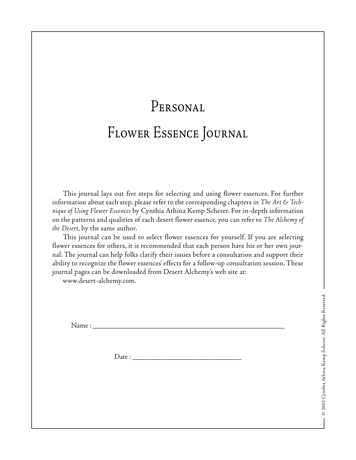## Personal Flower Essence Journal

This journal lays out five steps for selecting and using flower essences. For further information about each step, please refer to the corresponding chapters in *The Art & Technique of Using Flower Essences* by Cynthia Athina Kemp Scherer. For in-depth information on the patterns and qualities of each desert flower essence, you can refer to *The Alchemy of the Desert*, by the same author.

This journal can be used to select flower essences for yourself. If you are selecting flower essences for others, it is recommended that each person have his or her own journal. The journal can help folks clarify their issues before a consultation and support their ability to recognize the flower essences' effects for a follow-up consultation session. These journal pages can be downloaded from Desert Alchemy's web site at:

www.desert-alchemy.com.

Name : \_\_\_\_\_\_\_\_\_\_\_\_\_\_\_\_\_\_\_\_\_\_\_\_\_\_\_\_\_\_\_\_\_\_\_\_\_\_\_\_\_\_\_\_\_\_\_\_\_\_\_

 $Date:$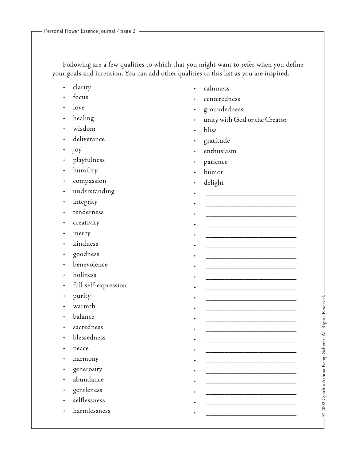Following are a few qualities to which that you might want to refer when you define your goals and intention. You can add other qualities to this list as you are inspired.

- clarity
- focus
- love
- healing
- wisdom
- deliverance
- joy
- playfulness
- humility
- compassion
- understanding
- integrity
- tenderness
- creativity
- mercy
- kindness
- goodness
- benevolence
- holiness
- full self-expression
- purity
- warmth
- balance
- sacredness
- blessedness
- peace
- harmony
- generosity
- abundance
- gentleness
- selflessness
- harmlessness
- calmness
- centeredness
- groundedness
- unity with God or the Creator

• \_\_\_\_\_\_\_\_\_\_\_\_\_\_\_\_\_\_\_\_\_\_\_\_

• \_\_\_\_\_\_\_\_\_\_\_\_\_\_\_\_\_\_\_\_\_\_\_\_

• \_\_\_\_\_\_\_\_\_\_\_\_\_\_\_\_\_\_\_\_\_\_\_\_ • \_\_\_\_\_\_\_\_\_\_\_\_\_\_\_\_\_\_\_\_\_\_\_\_ • \_\_\_\_\_\_\_\_\_\_\_\_\_\_\_\_\_\_\_\_\_\_\_\_ • \_\_\_\_\_\_\_\_\_\_\_\_\_\_\_\_\_\_\_\_\_\_\_\_ • \_\_\_\_\_\_\_\_\_\_\_\_\_\_\_\_\_\_\_\_\_\_\_\_

• \_\_\_\_\_\_\_\_\_\_\_\_\_\_\_\_\_\_\_\_\_\_\_\_

• \_\_\_\_\_\_\_\_\_\_\_\_\_\_\_\_\_\_\_\_\_\_\_\_

• \_\_\_\_\_\_\_\_\_\_\_\_\_\_\_\_\_\_\_\_\_\_\_\_ • \_\_\_\_\_\_\_\_\_\_\_\_\_\_\_\_\_\_\_\_\_\_\_\_

• \_\_\_\_\_\_\_\_\_\_\_\_\_\_\_\_\_\_\_\_\_\_\_\_ • \_\_\_\_\_\_\_\_\_\_\_\_\_\_\_\_\_\_\_\_\_\_\_\_ • \_\_\_\_\_\_\_\_\_\_\_\_\_\_\_\_\_\_\_\_\_\_\_\_

• \_\_\_\_\_\_\_\_\_\_\_\_\_\_\_\_\_\_\_\_\_\_\_\_ • \_\_\_\_\_\_\_\_\_\_\_\_\_\_\_\_\_\_\_\_\_\_\_\_

• \_\_\_\_\_\_\_\_\_\_\_\_\_\_\_\_\_\_\_\_\_\_\_\_ • \_\_\_\_\_\_\_\_\_\_\_\_\_\_\_\_\_\_\_\_\_\_\_\_

• \_\_\_\_\_\_\_\_\_\_\_\_\_\_\_\_\_\_\_\_\_\_\_\_ • \_\_\_\_\_\_\_\_\_\_\_\_\_\_\_\_\_\_\_\_\_\_\_\_

• \_\_\_\_\_\_\_\_\_\_\_\_\_\_\_\_\_\_\_\_\_\_\_\_

- bliss
- gratitude
- enthusiasm
- patience
- humor
- delight

© 2002 Cynthia Athina Kemp Scherer. All Rights Reserved. © 2002 Cynthia Athina Kemp Scherer. All Rights Reserved.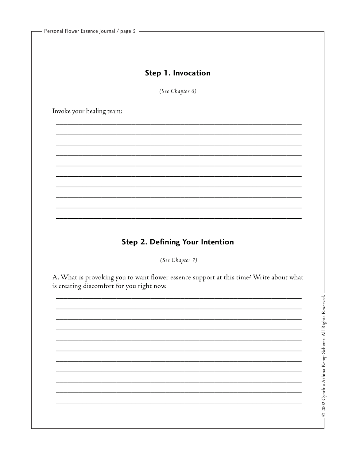## Step 1. Invocation

(See Chapter 6)

Invoke your healing team:

## Step 2. Defining Your Intention

(See Chapter 7)

A. What is provoking you to want flower essence support at this time? Write about what is creating discomfort for you right now.

 $-$  © 2002 Cynthia Athina Kemp Scherer. All Rights Reserved.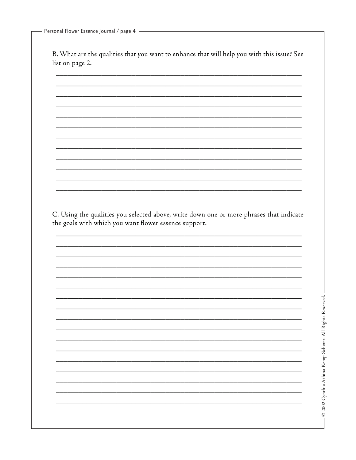- Personal Flower Essence Journal / page 4 -

B. What are the qualities that you want to enhance that will help you with this issue? See list on page 2.

C. Using the qualities you selected above, write down one or more phrases that indicate the goals with which you want flower essence support.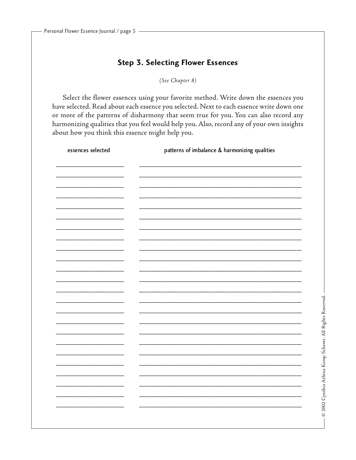## **Step 3. Selecting Flower Essences**

(See Chapter 8)

Select the flower essences using your favorite method. Write down the essences you have selected. Read about each essence you selected. Next to each essence write down one or more of the patterns of disharmony that seem true for you. You can also record any harmonizing qualities that you feel would help you. Also, record any of your own insights about how you think this essence might help you.

| essences selected        | patterns of imbalance & harmonizing qualities |
|--------------------------|-----------------------------------------------|
|                          |                                               |
|                          |                                               |
|                          |                                               |
|                          |                                               |
|                          |                                               |
| $\overline{\phantom{0}}$ |                                               |
|                          |                                               |
|                          |                                               |
|                          |                                               |
| -                        |                                               |
|                          |                                               |
|                          |                                               |
|                          |                                               |
|                          |                                               |
| -                        |                                               |
| -                        |                                               |
|                          |                                               |
|                          |                                               |
|                          |                                               |
|                          |                                               |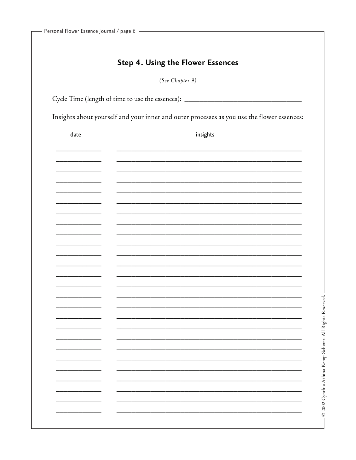|  |  | <b>Step 4. Using the Flower Essences</b> |
|--|--|------------------------------------------|
|  |  |                                          |

(See Chapter 9)

Cycle Time (length of time to use the essences): \_\_\_\_\_\_\_\_\_\_\_\_\_\_\_\_\_\_\_\_\_\_\_\_\_\_\_\_\_\_\_

Insights about yourself and your inner and outer processes as you use the flower essences:

| $\operatorname{\mathsf{date}}$ | $\sf{insights}$ |
|--------------------------------|-----------------|
|                                |                 |
|                                |                 |
|                                |                 |
|                                |                 |
|                                |                 |
|                                |                 |
|                                |                 |
|                                |                 |
|                                |                 |
|                                |                 |
|                                |                 |
|                                |                 |
|                                |                 |
|                                |                 |
|                                |                 |
|                                |                 |
|                                |                 |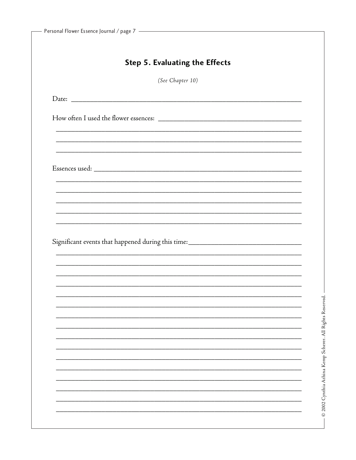| (See Chapter 10)                                                                  |  |
|-----------------------------------------------------------------------------------|--|
|                                                                                   |  |
|                                                                                   |  |
|                                                                                   |  |
|                                                                                   |  |
| ,我们也不能在这里的时候,我们也不能在这里的时候,我们也不能会不能会不能会不能会不能会不能会不能会不能会不能会不能会。""我们的是,我们也不能会不能会不能会不能  |  |
|                                                                                   |  |
|                                                                                   |  |
|                                                                                   |  |
|                                                                                   |  |
|                                                                                   |  |
|                                                                                   |  |
|                                                                                   |  |
| Significant events that happened during this time: ______________________________ |  |
|                                                                                   |  |
|                                                                                   |  |
|                                                                                   |  |
|                                                                                   |  |
|                                                                                   |  |
|                                                                                   |  |
|                                                                                   |  |
|                                                                                   |  |
|                                                                                   |  |
|                                                                                   |  |
|                                                                                   |  |
|                                                                                   |  |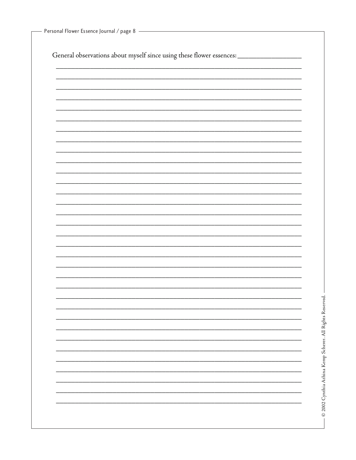| Personal Flower Essence Journal / page 8 |  |  |  |
|------------------------------------------|--|--|--|
|------------------------------------------|--|--|--|

General observations about myself since using these flower essences: \_\_\_\_\_\_\_\_\_\_\_\_\_\_\_\_\_\_\_\_\_\_\_\_\_\_\_\_\_\_\_

| I<br>֘֝֕                    |
|-----------------------------|
| $\frac{1}{2}$               |
|                             |
| $-25.25$<br>Ì               |
| assa a lí assain<br>ì       |
|                             |
| :                           |
| ;<br>;<br>;<br>;<br>C sus C |
| i)                          |